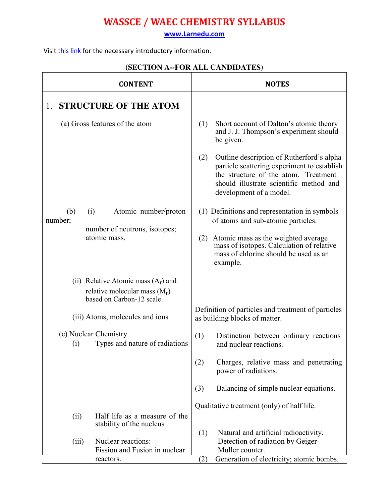**<www.Larnedu.com>**

Visit [this link](http://www.larnedu.com/wassce-waec-syllabus/chemistry/) for the necessary introductory information.

|                | <b>CONTENT</b>                                                                                        |           | <b>NOTES</b>                                                                                                                                                                                           |
|----------------|-------------------------------------------------------------------------------------------------------|-----------|--------------------------------------------------------------------------------------------------------------------------------------------------------------------------------------------------------|
| 1.             | <b>STRUCTURE OF THE ATOM</b>                                                                          |           |                                                                                                                                                                                                        |
|                | (a) Gross features of the atom                                                                        | (1)       | Short account of Dalton's atomic theory<br>and J. J. Thompson's experiment should<br>be given.                                                                                                         |
|                |                                                                                                       | (2)       | Outline description of Rutherford's alpha<br>particle scattering experiment to establish<br>the structure of the atom. Treatment<br>should illustrate scientific method and<br>development of a model. |
| (b)<br>number; | Atomic number/proton<br>(i)                                                                           |           | (1) Definitions and representation in symbols<br>of atoms and sub-atomic particles.                                                                                                                    |
|                | number of neutrons, isotopes;<br>atomic mass.                                                         | (2)       | Atomic mass as the weighted average<br>mass of isotopes. Calculation of relative<br>mass of chlorine should be used as an<br>example.                                                                  |
|                | (ii) Relative Atomic mass $(A_r)$ and<br>relative molecular mass $(M_r)$<br>based on Carbon-12 scale. |           |                                                                                                                                                                                                        |
|                | (iii) Atoms, molecules and ions                                                                       |           | Definition of particles and treatment of particles<br>as building blocks of matter.                                                                                                                    |
| (i)            | (c) Nuclear Chemistry<br>Types and nature of radiations                                               | (1)       | Distinction between ordinary reactions<br>and nuclear reactions.                                                                                                                                       |
|                |                                                                                                       | (2)       | Charges, relative mass and penetrating<br>power of radiations.                                                                                                                                         |
|                |                                                                                                       | (3)       | Balancing of simple nuclear equations.                                                                                                                                                                 |
| (ii)           | Half life as a measure of the<br>stability of the nucleus                                             |           | Qualitative treatment (only) of half life.                                                                                                                                                             |
| (iii)          | Nuclear reactions:<br>Fission and Fusion in nuclear<br>reactors.                                      | (1)<br>2) | Natural and artificial radioactivity.<br>Detection of radiation by Geiger-<br>Muller counter.<br>Generation of electricity; atomic bombs.                                                              |

#### **(SECTION A--FOR ALL CANDIDATES)**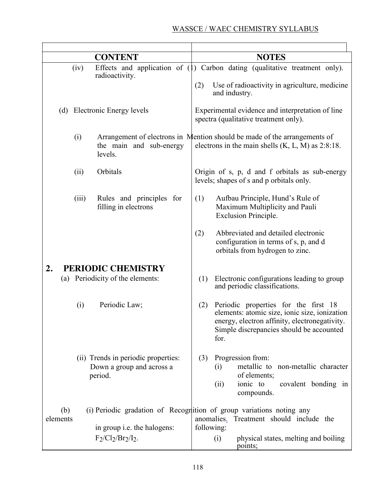|                 |       | <b>CONTENT</b>                                                              | <b>NOTES</b>                                                                                                                                                                                      |
|-----------------|-------|-----------------------------------------------------------------------------|---------------------------------------------------------------------------------------------------------------------------------------------------------------------------------------------------|
|                 | (iv)  | radioactivity.                                                              | Effects and application of (1) Carbon dating (qualitative treatment only).<br>(2)<br>Use of radioactivity in agriculture, medicine<br>and industry.                                               |
|                 |       | (d) Electronic Energy levels                                                | Experimental evidence and interpretation of line<br>spectra (qualitative treatment only).                                                                                                         |
|                 | (i)   | the main and sub-energy<br>levels.                                          | Arrangement of electrons in Mention should be made of the arrangements of<br>electrons in the main shells $(K, L, M)$ as 2:8:18.                                                                  |
|                 | (ii)  | Orbitals                                                                    | Origin of s, p, d and f orbitals as sub-energy<br>levels; shapes of s and p orbitals only.                                                                                                        |
|                 | (iii) | Rules and principles for<br>filling in electrons                            | Aufbau Principle, Hund's Rule of<br>(1)<br>Maximum Multiplicity and Pauli<br><b>Exclusion Principle.</b>                                                                                          |
|                 |       |                                                                             | Abbreviated and detailed electronic<br>(2)<br>configuration in terms of s, p, and d<br>orbitals from hydrogen to zinc.                                                                            |
| 2.              |       | PERIODIC CHEMISTRY                                                          |                                                                                                                                                                                                   |
|                 |       | (a) Periodicity of the elements:                                            | Electronic configurations leading to group<br>(1)<br>and periodic classifications.                                                                                                                |
|                 | (i)   | Periodic Law;                                                               | Periodic properties for the first 18<br>(2)<br>elements: atomic size, ionic size, ionization<br>energy, electron affinity, electronegativity.<br>Simple discrepancies should be accounted<br>for. |
|                 |       | (ii) Trends in periodic properties:<br>Down a group and across a<br>period. | Progression from:<br>(3)<br>metallic to non-metallic character<br>(i)<br>of elements;<br>ionic to<br>covalent bonding in<br>(ii)<br>compounds.                                                    |
| (b)<br>elements |       | in group <i>i.e.</i> the halogens:                                          | (i) Periodic gradation of Recognition of group variations noting any<br>anomalies. Treatment should include the<br>following:                                                                     |
|                 |       | $F_2/Cl_2/Br_2/l_2$ .                                                       | physical states, melting and boiling<br>(i)<br>points;                                                                                                                                            |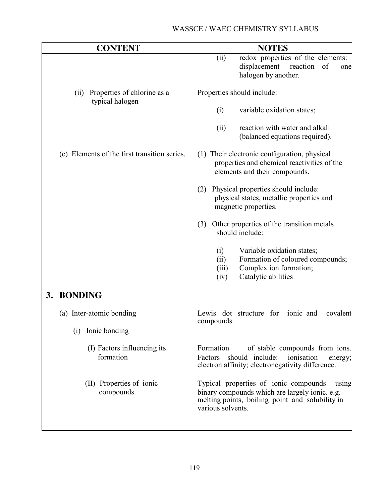| <b>CONTENT</b>                                      | <b>NOTES</b>                                                                                                                                                             |
|-----------------------------------------------------|--------------------------------------------------------------------------------------------------------------------------------------------------------------------------|
|                                                     | (ii)<br>redox properties of the elements:<br>displacement<br>reaction<br>of<br>one<br>halogen by another.                                                                |
| (ii) Properties of chlorine as a<br>typical halogen | Properties should include:                                                                                                                                               |
|                                                     | variable oxidation states;<br>(i)                                                                                                                                        |
|                                                     | reaction with water and alkali<br>(ii)<br>(balanced equations required).                                                                                                 |
| (c) Elements of the first transition series.        | (1) Their electronic configuration, physical<br>properties and chemical reactivities of the<br>elements and their compounds.                                             |
|                                                     | Physical properties should include:<br>(2)<br>physical states, metallic properties and<br>magnetic properties.                                                           |
|                                                     | Other properties of the transition metals<br>(3)<br>should include:                                                                                                      |
|                                                     | Variable oxidation states;<br>(i)<br>Formation of coloured compounds;<br>(ii)<br>Complex ion formation;<br>(iii)<br>Catalytic abilities<br>(iv)                          |
| 3. BONDING                                          |                                                                                                                                                                          |
| (a) Inter-atomic bonding                            | Lewis dot structure for<br>ionic and<br>covalent<br>compounds.                                                                                                           |
| Ionic bonding<br>(i)                                |                                                                                                                                                                          |
| (I) Factors influencing its<br>formation            | Formation<br>of stable compounds from ions.<br>Factors should include:<br>ionisation<br>energy;<br>electron affinity; electronegativity difference.                      |
| (II) Properties of ionic<br>compounds.              | Typical properties of ionic compounds<br>using<br>binary compounds which are largely ionic. e.g.<br>melting points, boiling point and solubility in<br>various solvents. |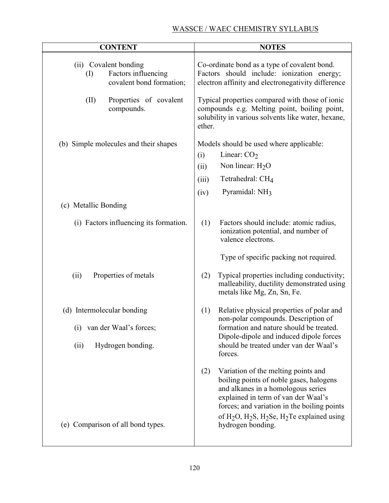| <b>CONTENT</b>                                                                                         | <b>NOTES</b>                                                                                                                                                                                                                                                                                                                          |
|--------------------------------------------------------------------------------------------------------|---------------------------------------------------------------------------------------------------------------------------------------------------------------------------------------------------------------------------------------------------------------------------------------------------------------------------------------|
| (ii) Covalent bonding<br>Factors influencing<br>$\left( \mathrm{I}\right)$<br>covalent bond formation; | Co-ordinate bond as a type of covalent bond.<br>Factors should include: ionization energy;<br>electron affinity and electronegativity difference                                                                                                                                                                                      |
| (II)<br>Properties of covalent<br>compounds.                                                           | Typical properties compared with those of ionic<br>compounds e.g. Melting point, boiling point,<br>solubility in various solvents like water, hexane,<br>ether.                                                                                                                                                                       |
| (b) Simple molecules and their shapes                                                                  | Models should be used where applicable:<br>Linear: $CO2$<br>(i)<br>Non linear: $H2O$<br>(ii)<br>Tetrahedral: CH <sub>4</sub><br>(iii)<br>Pyramidal: NH <sub>3</sub><br>(iv)                                                                                                                                                           |
| (c) Metallic Bonding                                                                                   |                                                                                                                                                                                                                                                                                                                                       |
| (i) Factors influencing its formation.                                                                 | (1)<br>Factors should include: atomic radius,<br>ionization potential, and number of<br>valence electrons.<br>Type of specific packing not required.                                                                                                                                                                                  |
| Properties of metals<br>(ii)                                                                           | Typical properties including conductivity;<br>(2)<br>malleability, ductility demonstrated using<br>metals like Mg, Zn, Sn, Fe.                                                                                                                                                                                                        |
| (d) Intermolecular bonding<br>van der Waal's forces;<br>$\left(1\right)$<br>Hydrogen bonding.<br>(ii)  | Relative physical properties of polar and<br>(1)<br>non-polar compounds. Description of<br>formation and nature should be treated.<br>Dipole-dipole and induced dipole forces<br>should be treated under van der Waal's<br>forces.                                                                                                    |
| (e) Comparison of all bond types.                                                                      | Variation of the melting points and<br>(2)<br>boiling points of noble gases, halogens<br>and alkanes in a homologous series<br>explained in term of van der Waal's<br>forces; and variation in the boiling points<br>of H <sub>2</sub> O, H <sub>2</sub> S, H <sub>2</sub> Se, H <sub>2</sub> Te explained using<br>hydrogen bonding. |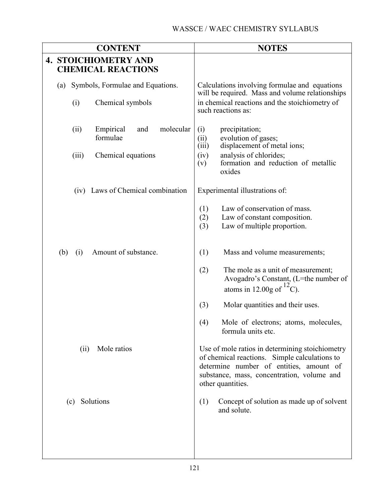| <b>CONTENT</b> |                                                          |       | <b>NOTES</b>                              |                                                                                                  |                                                                                                                                                                                                                |
|----------------|----------------------------------------------------------|-------|-------------------------------------------|--------------------------------------------------------------------------------------------------|----------------------------------------------------------------------------------------------------------------------------------------------------------------------------------------------------------------|
|                | <b>4. STOICHIOMETRY AND</b><br><b>CHEMICAL REACTIONS</b> |       |                                           |                                                                                                  |                                                                                                                                                                                                                |
|                | Symbols, Formulae and Equations.<br>(a)                  |       |                                           | Calculations involving formulae and equations<br>will be required. Mass and volume relationships |                                                                                                                                                                                                                |
|                |                                                          | (i)   | Chemical symbols                          |                                                                                                  | in chemical reactions and the stoichiometry of<br>such reactions as:                                                                                                                                           |
|                |                                                          | (ii)  | molecular<br>Empirical<br>and<br>formulae | (i)<br>(ii)<br>(iii)                                                                             | precipitation;<br>evolution of gases;<br>displacement of metal ions;                                                                                                                                           |
|                |                                                          | (iii) | Chemical equations                        | (iv)<br>(v)                                                                                      | analysis of chlorides;<br>formation and reduction of metallic<br>oxides                                                                                                                                        |
|                |                                                          |       | (iv) Laws of Chemical combination         |                                                                                                  | Experimental illustrations of:                                                                                                                                                                                 |
|                |                                                          |       |                                           | (1)<br>(2)<br>(3)                                                                                | Law of conservation of mass.<br>Law of constant composition.<br>Law of multiple proportion.                                                                                                                    |
|                | (b)                                                      | (i)   | Amount of substance.                      | (1)                                                                                              | Mass and volume measurements;                                                                                                                                                                                  |
|                |                                                          |       |                                           | (2)                                                                                              | The mole as a unit of measurement;<br>Avogadro's Constant, (L=the number of<br>atoms in 12.00g of $^{12}$ C).                                                                                                  |
|                |                                                          |       |                                           | (3)                                                                                              | Molar quantities and their uses.                                                                                                                                                                               |
|                |                                                          |       |                                           | (4)                                                                                              | Mole of electrons; atoms, molecules,<br>formula units etc.                                                                                                                                                     |
|                |                                                          | (ii)  | Mole ratios                               |                                                                                                  | Use of mole ratios in determining stoichiometry<br>of chemical reactions. Simple calculations to<br>determine number of entities, amount of<br>substance, mass, concentration, volume and<br>other quantities. |
|                |                                                          | (c)   | Solutions                                 | (1)                                                                                              | Concept of solution as made up of solvent<br>and solute.                                                                                                                                                       |
|                |                                                          |       |                                           |                                                                                                  |                                                                                                                                                                                                                |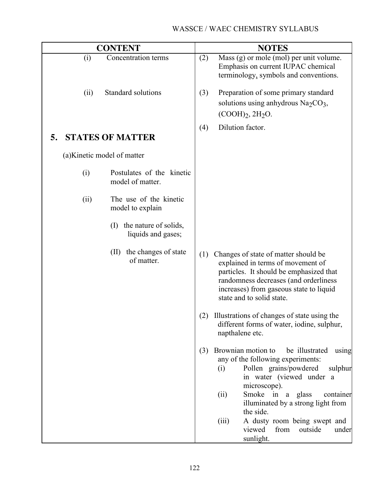|      | <b>CONTENT</b>                                     |     | <b>NOTES</b>                                                                                                                                                                                                                                                                                                                                                       |
|------|----------------------------------------------------|-----|--------------------------------------------------------------------------------------------------------------------------------------------------------------------------------------------------------------------------------------------------------------------------------------------------------------------------------------------------------------------|
| (i)  | Concentration terms                                | (2) | Mass (g) or mole (mol) per unit volume.<br>Emphasis on current IUPAC chemical<br>terminology, symbols and conventions.                                                                                                                                                                                                                                             |
| (ii) | Standard solutions                                 | (3) | Preparation of some primary standard<br>solutions using anhydrous $\text{Na}_2\text{CO}_3$ ,<br>$(COOH)_2, 2H_2O.$                                                                                                                                                                                                                                                 |
| 5.   | <b>STATES OF MATTER</b>                            | (4) | Dilution factor.                                                                                                                                                                                                                                                                                                                                                   |
|      | (a) Kinetic model of matter                        |     |                                                                                                                                                                                                                                                                                                                                                                    |
| (i)  | Postulates of the kinetic<br>model of matter.      |     |                                                                                                                                                                                                                                                                                                                                                                    |
| (ii) | The use of the kinetic<br>model to explain         |     |                                                                                                                                                                                                                                                                                                                                                                    |
|      | the nature of solids,<br>(I)<br>liquids and gases; |     |                                                                                                                                                                                                                                                                                                                                                                    |
|      | the changes of state<br>(II)<br>of matter.         | (1) | Changes of state of matter should be<br>explained in terms of movement of<br>particles. It should be emphasized that<br>randomness decreases (and orderliness<br>increases) from gaseous state to liquid<br>state and to solid state.                                                                                                                              |
|      |                                                    | (2) | Illustrations of changes of state using the<br>different forms of water, iodine, sulphur,<br>napthalene etc.                                                                                                                                                                                                                                                       |
|      |                                                    | (3) | Brownian motion to<br>be illustrated<br>using<br>any of the following experiments:<br>Pollen grains/powdered<br>sulphur<br>(i)<br>in water (viewed under a<br>microscope).<br>Smoke in a glass<br>(ii)<br>container<br>illuminated by a strong light from<br>the side.<br>(iii)<br>A dusty room being swept and<br>from<br>viewed<br>outside<br>under<br>sunlight. |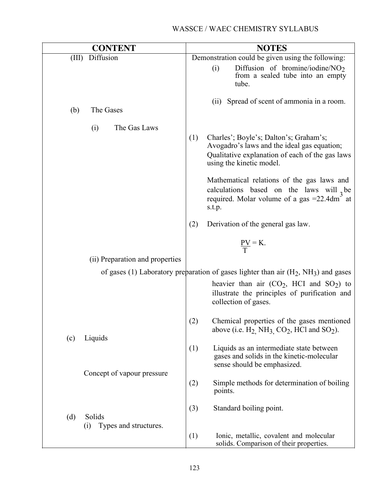| <b>CONTENT</b>                                | <b>NOTES</b>                                                                                                                                                                                                                                                                                                                                     |
|-----------------------------------------------|--------------------------------------------------------------------------------------------------------------------------------------------------------------------------------------------------------------------------------------------------------------------------------------------------------------------------------------------------|
| Diffusion<br>(III)                            | Demonstration could be given using the following:                                                                                                                                                                                                                                                                                                |
|                                               | Diffusion of bromine/iodine/ $NO2$<br>(i)<br>from a sealed tube into an empty<br>tube.                                                                                                                                                                                                                                                           |
| (b)<br>The Gases                              | Spread of scent of ammonia in a room.<br>(ii)                                                                                                                                                                                                                                                                                                    |
| The Gas Laws<br>(i)                           | (1)<br>Charles'; Boyle's; Dalton's; Graham's;<br>Avogadro's laws and the ideal gas equation;<br>Qualitative explanation of each of the gas laws<br>using the kinetic model.<br>Mathematical relations of the gas laws and<br>calculations based on the laws will $_{2}$ be<br>required. Molar volume of a gas = 22.4dm <sup>3</sup> at<br>s.t.p. |
|                                               | (2)<br>Derivation of the general gas law.                                                                                                                                                                                                                                                                                                        |
|                                               | $\underline{PV} = K.$                                                                                                                                                                                                                                                                                                                            |
| (ii) Preparation and properties               |                                                                                                                                                                                                                                                                                                                                                  |
|                                               | of gases (1) Laboratory preparation of gases lighter than air $(H_2, NH_3)$ and gases<br>heavier than air $(CO_2, HCl$ and $SO_2)$ to<br>illustrate the principles of purification and<br>collection of gases.                                                                                                                                   |
| Liquids<br>(c)                                | (2)<br>Chemical properties of the gases mentioned<br>above (i.e. $H_2$ , NH <sub>3</sub> , CO <sub>2</sub> , HCl and SO <sub>2</sub> ).                                                                                                                                                                                                          |
|                                               | (1)<br>Liquids as an intermediate state between<br>gases and solids in the kinetic-molecular<br>sense should be emphasized.                                                                                                                                                                                                                      |
| Concept of vapour pressure                    | Simple methods for determination of boiling<br>(2)<br>points.                                                                                                                                                                                                                                                                                    |
| Solids<br>(d)<br>Types and structures.<br>(i) | (3)<br>Standard boiling point.                                                                                                                                                                                                                                                                                                                   |
|                                               | (1)<br>Ionic, metallic, covalent and molecular<br>solids. Comparison of their properties.                                                                                                                                                                                                                                                        |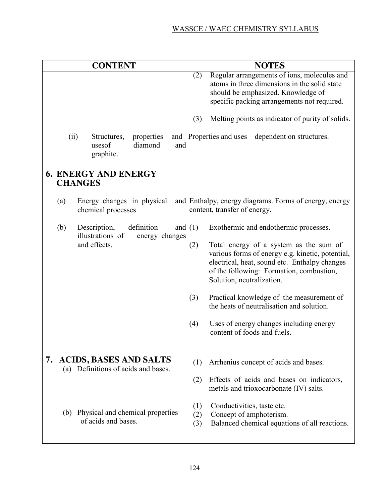|      | <b>CONTENT</b>                                                            |                   | <b>NOTES</b>                                                                                                                                                                                                         |
|------|---------------------------------------------------------------------------|-------------------|----------------------------------------------------------------------------------------------------------------------------------------------------------------------------------------------------------------------|
|      |                                                                           | (2)               | Regular arrangements of ions, molecules and<br>atoms in three dimensions in the solid state<br>should be emphasized. Knowledge of<br>specific packing arrangements not required.                                     |
|      |                                                                           | (3)               | Melting points as indicator of purity of solids.                                                                                                                                                                     |
| (ii) | Structures,<br>properties<br>and<br>diamond<br>usesof<br>and<br>graphite. |                   | Properties and uses – dependent on structures.                                                                                                                                                                       |
|      | <b>6. ENERGY AND ENERGY</b><br><b>CHANGES</b>                             |                   |                                                                                                                                                                                                                      |
| (a)  | Energy changes in physical<br>chemical processes                          |                   | and Enthalpy, energy diagrams. Forms of energy, energy<br>content, transfer of energy.                                                                                                                               |
| (b)  | definition<br>Description,<br>illustrations of<br>energy changes          | and $(1)$         | Exothermic and endothermic processes.                                                                                                                                                                                |
|      | and effects.                                                              | (2)               | Total energy of a system as the sum of<br>various forms of energy e.g. kinetic, potential,<br>electrical, heat, sound etc. Enthalpy changes<br>of the following: Formation, combustion,<br>Solution, neutralization. |
|      |                                                                           | (3)               | Practical knowledge of the measurement of<br>the heats of neutralisation and solution.                                                                                                                               |
|      |                                                                           | (4)               | Uses of energy changes including energy<br>content of foods and fuels.                                                                                                                                               |
|      | 7. ACIDS, BASES AND SALTS<br>(a) Definitions of acids and bases.          | (1)               | Arrhenius concept of acids and bases.                                                                                                                                                                                |
|      |                                                                           | (2)               | Effects of acids and bases on indicators,<br>metals and trioxocarbonate (IV) salts.                                                                                                                                  |
|      | (b) Physical and chemical properties<br>of acids and bases.               | (1)<br>(2)<br>(3) | Conductivities, taste etc.<br>Concept of amphoterism.<br>Balanced chemical equations of all reactions.                                                                                                               |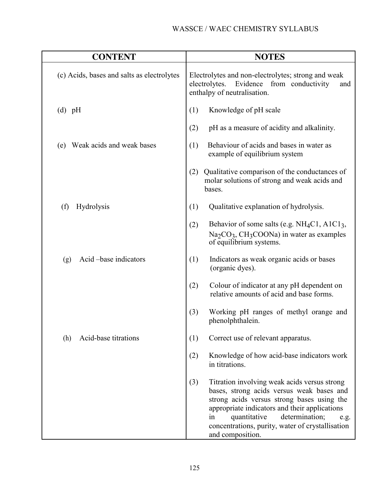| <b>CONTENT</b>                             | <b>NOTES</b>                                                                                                                                                                                                                                                                                                            |  |  |
|--------------------------------------------|-------------------------------------------------------------------------------------------------------------------------------------------------------------------------------------------------------------------------------------------------------------------------------------------------------------------------|--|--|
| (c) Acids, bases and salts as electrolytes | Electrolytes and non-electrolytes; strong and weak<br>Evidence from conductivity<br>electrolytes.<br>and<br>enthalpy of neutralisation.                                                                                                                                                                                 |  |  |
| $(d)$ pH                                   | Knowledge of pH scale<br>(1)                                                                                                                                                                                                                                                                                            |  |  |
|                                            | (2)<br>pH as a measure of acidity and alkalinity.                                                                                                                                                                                                                                                                       |  |  |
| Weak acids and weak bases<br>(e)           | Behaviour of acids and bases in water as<br>(1)<br>example of equilibrium system                                                                                                                                                                                                                                        |  |  |
|                                            | Qualitative comparison of the conductances of<br>(2)<br>molar solutions of strong and weak acids and<br>bases.                                                                                                                                                                                                          |  |  |
| (f)<br><b>Hydrolysis</b>                   | (1)<br>Qualitative explanation of hydrolysis.                                                                                                                                                                                                                                                                           |  |  |
|                                            | Behavior of some salts (e.g. NH <sub>4</sub> C1, A1C1 <sub>3</sub> ,<br>(2)<br>$Na2CO3$ , CH <sub>3</sub> COONa) in water as examples<br>of equilibrium systems.                                                                                                                                                        |  |  |
| Acid -base indicators<br>(g)               | (1)<br>Indicators as weak organic acids or bases<br>(organic dyes).                                                                                                                                                                                                                                                     |  |  |
|                                            | (2)<br>Colour of indicator at any pH dependent on<br>relative amounts of acid and base forms.                                                                                                                                                                                                                           |  |  |
|                                            | (3)<br>Working pH ranges of methyl orange and<br>phenolphthalein.                                                                                                                                                                                                                                                       |  |  |
| Acid-base titrations<br>(h)                | (1)<br>Correct use of relevant apparatus.                                                                                                                                                                                                                                                                               |  |  |
|                                            | Knowledge of how acid-base indicators work<br>(2)<br>in titrations.                                                                                                                                                                                                                                                     |  |  |
|                                            | (3)<br>Titration involving weak acids versus strong<br>bases, strong acids versus weak bases and<br>strong acids versus strong bases using the<br>appropriate indicators and their applications<br>determination;<br>quantitative<br>in<br>e.g.<br>concentrations, purity, water of crystallisation<br>and composition. |  |  |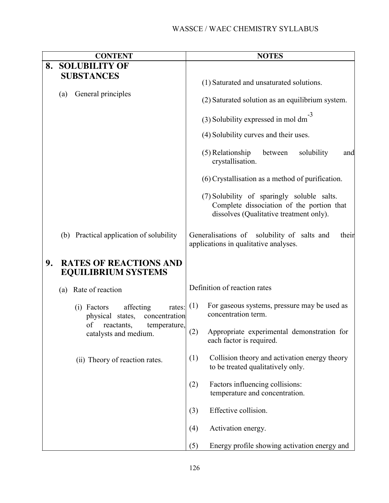|    | <b>CONTENT</b>                                                                  | <b>NOTES</b>                                                                                                                       |
|----|---------------------------------------------------------------------------------|------------------------------------------------------------------------------------------------------------------------------------|
| 8. | <b>SOLUBILITY OF</b>                                                            |                                                                                                                                    |
|    | <b>SUBSTANCES</b>                                                               | (1) Saturated and unsaturated solutions.                                                                                           |
|    | General principles<br>(a)                                                       | (2) Saturated solution as an equilibrium system.                                                                                   |
|    |                                                                                 | (3) Solubility expressed in mol dm                                                                                                 |
|    |                                                                                 | (4) Solubility curves and their uses.                                                                                              |
|    |                                                                                 | (5) Relationship<br>solubility<br>between<br>and<br>crystallisation.                                                               |
|    |                                                                                 | (6) Crystallisation as a method of purification.                                                                                   |
|    |                                                                                 | (7) Solubility of sparingly soluble salts.<br>Complete dissociation of the portion that<br>dissolves (Qualitative treatment only). |
|    | (b) Practical application of solubility                                         | Generalisations of solubility of salts and<br>their<br>applications in qualitative analyses.                                       |
| 9. | <b>RATES OF REACTIONS AND</b><br><b>EQUILIBRIUM SYSTEMS</b>                     |                                                                                                                                    |
|    | Rate of reaction<br>(a)                                                         | Definition of reaction rates                                                                                                       |
|    | affecting<br>$(i)$ Factors<br>rates:<br>concentration<br>physical states,<br>of | (1)<br>For gaseous systems, pressure may be used as<br>concentration term.                                                         |
|    | reactants,<br>temperature,<br>catalysts and medium.                             | (2)<br>Appropriate experimental demonstration for<br>each factor is required.                                                      |
|    | (ii) Theory of reaction rates.                                                  | Collision theory and activation energy theory<br>(1)<br>to be treated qualitatively only.                                          |
|    |                                                                                 | Factors influencing collisions:<br>(2)<br>temperature and concentration.                                                           |
|    |                                                                                 | Effective collision.<br>(3)                                                                                                        |
|    |                                                                                 | Activation energy.<br>(4)                                                                                                          |
|    |                                                                                 | Energy profile showing activation energy and<br>(5)                                                                                |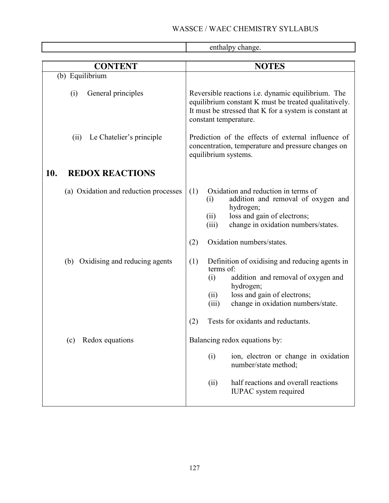$\overline{\mathbf{r}}$ 

|                                       | enthalpy change.                                                                                                                                                                                                                                                |
|---------------------------------------|-----------------------------------------------------------------------------------------------------------------------------------------------------------------------------------------------------------------------------------------------------------------|
| <b>CONTENT</b>                        | <b>NOTES</b>                                                                                                                                                                                                                                                    |
| (b) Equilibrium                       |                                                                                                                                                                                                                                                                 |
| General principles<br>(i)             | Reversible reactions <i>i.e.</i> dynamic equilibrium. The<br>equilibrium constant K must be treated qualitatively.<br>It must be stressed that K for a system is constant at<br>constant temperature.                                                           |
| Le Chatelier's principle<br>(ii)      | Prediction of the effects of external influence of<br>concentration, temperature and pressure changes on<br>equilibrium systems.                                                                                                                                |
| 10.<br><b>REDOX REACTIONS</b>         |                                                                                                                                                                                                                                                                 |
| (a) Oxidation and reduction processes | Oxidation and reduction in terms of<br>(1)<br>addition and removal of oxygen and<br>(i)<br>hydrogen;<br>loss and gain of electrons;<br>(ii)<br>change in oxidation numbers/states.<br>(iii)<br>Oxidation numbers/states.<br>(2)                                 |
| (b) Oxidising and reducing agents     | (1)<br>Definition of oxidising and reducing agents in<br>terms of:<br>(i)<br>addition and removal of oxygen and<br>hydrogen;<br>loss and gain of electrons;<br>(ii)<br>change in oxidation numbers/state.<br>(iii)<br>Tests for oxidants and reductants.<br>(2) |
| Redox equations<br>(c)                | Balancing redox equations by:<br>(i)<br>ion, electron or change in oxidation<br>number/state method;<br>half reactions and overall reactions<br>(ii)                                                                                                            |
|                                       | <b>IUPAC</b> system required                                                                                                                                                                                                                                    |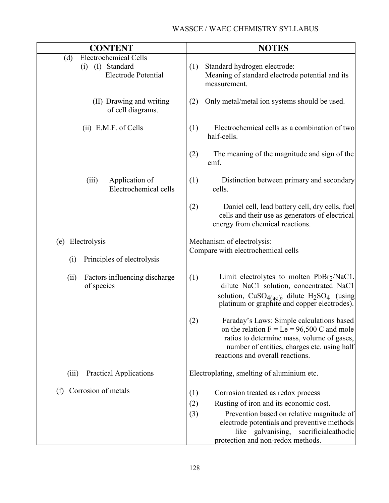| <b>CONTENT</b>                                                                        | <b>NOTES</b>                                                                                                                                                                                                                      |
|---------------------------------------------------------------------------------------|-----------------------------------------------------------------------------------------------------------------------------------------------------------------------------------------------------------------------------------|
| <b>Electrochemical Cells</b><br>(d)<br>(i) (I) Standard<br><b>Electrode Potential</b> | (1)<br>Standard hydrogen electrode:<br>Meaning of standard electrode potential and its<br>measurement.                                                                                                                            |
| (II) Drawing and writing<br>of cell diagrams.                                         | Only metal/metal ion systems should be used.<br>(2)                                                                                                                                                                               |
| $(ii)$ E.M.F. of Cells                                                                | Electrochemical cells as a combination of two<br>(1)<br>half-cells.                                                                                                                                                               |
|                                                                                       | The meaning of the magnitude and sign of the<br>(2)<br>emf.                                                                                                                                                                       |
| Application of<br>(iii)<br>Electrochemical cells                                      | (1)<br>Distinction between primary and secondary<br>cells.                                                                                                                                                                        |
|                                                                                       | Daniel cell, lead battery cell, dry cells, fuel<br>(2)<br>cells and their use as generators of electrical<br>energy from chemical reactions.                                                                                      |
| (e) Electrolysis                                                                      | Mechanism of electrolysis:                                                                                                                                                                                                        |
| Principles of electrolysis<br>(i)                                                     | Compare with electrochemical cells                                                                                                                                                                                                |
| Factors influencing discharge<br>(ii)<br>of species                                   | Limit electrolytes to molten PbBr <sub>2</sub> /NaC1,<br>(1)<br>dilute NaC1 solution, concentrated NaC1<br>solution, $CuSO_{4(aq)}$ ; dilute $H_2SO_4$ (using<br>platinum or graphite and copper electrodes).                     |
|                                                                                       | (2)<br>Faraday's Laws: Simple calculations based<br>on the relation $F = Le = 96,500 C$ and mole<br>ratios to determine mass, volume of gases,<br>number of entities, charges etc. using half<br>reactions and overall reactions. |
| <b>Practical Applications</b><br>(iii)                                                | Electroplating, smelting of aluminium etc.                                                                                                                                                                                        |
| Corrosion of metals<br>(f)                                                            | Corrosion treated as redox process<br>(1)                                                                                                                                                                                         |
|                                                                                       | Rusting of iron and its economic cost.<br>(2)                                                                                                                                                                                     |
|                                                                                       | (3)<br>Prevention based on relative magnitude of<br>electrode potentials and preventive methods<br>like galvanising, sacrificialcathodic<br>protection and non-redox methods.                                                     |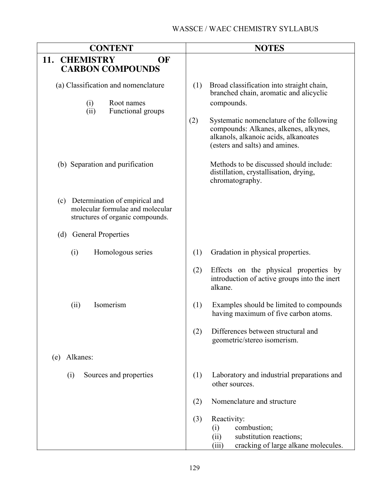| <b>CONTENT</b>                                                                                             | <b>NOTES</b>                                                                                                                                                       |
|------------------------------------------------------------------------------------------------------------|--------------------------------------------------------------------------------------------------------------------------------------------------------------------|
| 11.<br><b>CHEMISTRY</b><br>OF<br><b>CARBON COMPOUNDS</b>                                                   |                                                                                                                                                                    |
| (a) Classification and nomenclature<br>Root names<br>(i)<br>Functional groups<br>(ii)                      | (1)<br>Broad classification into straight chain,<br>branched chain, aromatic and alicyclic<br>compounds.                                                           |
|                                                                                                            | (2)<br>Systematic nomenclature of the following<br>compounds: Alkanes, alkenes, alkynes,<br>alkanols, alkanoic acids, alkanoates<br>(esters and salts) and amines. |
| (b) Separation and purification                                                                            | Methods to be discussed should include:<br>distillation, crystallisation, drying,<br>chromatography.                                                               |
| (c) Determination of empirical and<br>molecular formulae and molecular<br>structures of organic compounds. |                                                                                                                                                                    |
| <b>General Properties</b><br>(d)                                                                           |                                                                                                                                                                    |
| (i)<br>Homologous series                                                                                   | (1)<br>Gradation in physical properties.                                                                                                                           |
|                                                                                                            | (2)<br>Effects on the physical properties by<br>introduction of active groups into the inert<br>alkane.                                                            |
| Isomerism<br>(ii)                                                                                          | (1)<br>Examples should be limited to compounds<br>having maximum of five carbon atoms.                                                                             |
|                                                                                                            | Differences between structural and<br>(2)<br>geometric/stereo isomerism.                                                                                           |
| Alkanes:<br>(e)                                                                                            |                                                                                                                                                                    |
| Sources and properties<br>(i)                                                                              | (1)<br>Laboratory and industrial preparations and<br>other sources.                                                                                                |
|                                                                                                            | Nomenclature and structure<br>(2)                                                                                                                                  |
|                                                                                                            | (3)<br>Reactivity:<br>combustion;<br>(i)<br>substitution reactions;<br>(ii)<br>cracking of large alkane molecules.<br>(iii)                                        |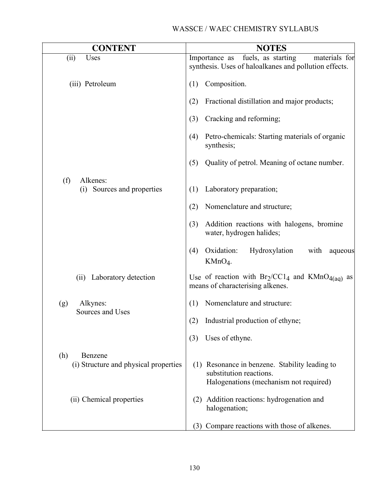| <b>CONTENT</b>                                          | <b>NOTES</b>                                                                                                        |
|---------------------------------------------------------|---------------------------------------------------------------------------------------------------------------------|
| (ii)<br>Uses                                            | fuels, as starting<br>materials for<br>Importance as<br>synthesis. Uses of haloalkanes and pollution effects.       |
| (iii) Petroleum                                         | Composition.<br>(1)                                                                                                 |
|                                                         | Fractional distillation and major products;<br>(2)                                                                  |
|                                                         | Cracking and reforming;<br>(3)                                                                                      |
|                                                         | Petro-chemicals: Starting materials of organic<br>(4)<br>synthesis;                                                 |
|                                                         | (5)<br>Quality of petrol. Meaning of octane number.                                                                 |
| Alkenes:<br>(f)<br>(i) Sources and properties           | Laboratory preparation;<br>(1)                                                                                      |
|                                                         | (2)<br>Nomenclature and structure;                                                                                  |
|                                                         | Addition reactions with halogens, bromine<br>(3)<br>water, hydrogen halides;                                        |
|                                                         | Oxidation:<br>Hydroxylation<br>(4)<br>with<br>aqueous<br>$KMnO4$ .                                                  |
| Laboratory detection<br>(ii)                            | Use of reaction with $Br_2/CC1_4$ and $KMnO_{4(aq)}$ as<br>means of characterising alkenes.                         |
| (g)<br>Alkynes:                                         | Nomenclature and structure:<br>(1)                                                                                  |
| Sources and Uses                                        | (2)<br>Industrial production of ethyne;                                                                             |
|                                                         | Uses of ethyne.<br>(3)                                                                                              |
| Benzene<br>(h)<br>(i) Structure and physical properties | (1) Resonance in benzene. Stability leading to<br>substitution reactions.<br>Halogenations (mechanism not required) |
| (ii) Chemical properties                                | Addition reactions: hydrogenation and<br>(2)<br>halogenation;                                                       |
|                                                         | (3) Compare reactions with those of alkenes.                                                                        |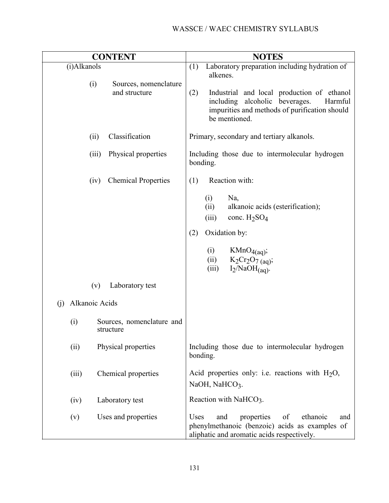|                       | <b>CONTENT</b>                         | <b>NOTES</b>                                                                                                                                                                                                                         |
|-----------------------|----------------------------------------|--------------------------------------------------------------------------------------------------------------------------------------------------------------------------------------------------------------------------------------|
| (i)Alkanols<br>(i)    | Sources, nomenclature<br>and structure | Laboratory preparation including hydration of<br>(1)<br>alkenes.<br>(2)<br>Industrial and local production of ethanol<br>including alcoholic beverages.<br>Harmful<br>impurities and methods of purification should<br>be mentioned. |
| (ii)                  | Classification                         | Primary, secondary and tertiary alkanols.                                                                                                                                                                                            |
| (iii)                 | Physical properties                    | Including those due to intermolecular hydrogen<br>bonding.                                                                                                                                                                           |
| (iv)                  | <b>Chemical Properties</b>             | Reaction with:<br>(1)                                                                                                                                                                                                                |
|                       |                                        | Na,<br>(i)<br>(ii)<br>alkanoic acids (esterification);<br>conc. $H_2SO_4$<br>(iii)<br>Oxidation by:<br>(2)<br>(i)<br>$KMnO_{4(aq)};$<br>$K_2Cr_2O_7$ (aq);<br>(ii)<br>$I_2/NaOH$ <sub>(aq)</sub> .<br>(iii)                          |
| (v)                   | Laboratory test                        |                                                                                                                                                                                                                                      |
| Alkanoic Acids<br>(i) |                                        |                                                                                                                                                                                                                                      |
| (i)                   | Sources, nomenclature and<br>structure |                                                                                                                                                                                                                                      |
| (ii)                  | Physical properties                    | Including those due to intermolecular hydrogen<br>bonding.                                                                                                                                                                           |
| (iii)                 | Chemical properties                    | Acid properties only: i.e. reactions with $H_2O$ ,<br>NaOH, NaHCO3.                                                                                                                                                                  |
| (iv)                  | Laboratory test                        | Reaction with NaHCO3.                                                                                                                                                                                                                |
| (v)                   | Uses and properties                    | properties<br>ethanoic<br>Uses<br>and<br>of<br>and<br>phenylmethanoic (benzoic) acids as examples of<br>aliphatic and aromatic acids respectively.                                                                                   |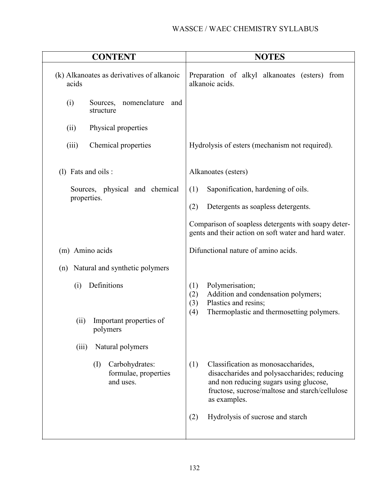| <b>CONTENT</b>                                             | <b>NOTES</b>                                                                                                                                                                                         |
|------------------------------------------------------------|------------------------------------------------------------------------------------------------------------------------------------------------------------------------------------------------------|
| (k) Alkanoates as derivatives of alkanoic<br>acids         | Preparation of alkyl alkanoates (esters) from<br>alkanoic acids.                                                                                                                                     |
| (i)<br>nomenclature<br>Sources,<br>and<br>structure        |                                                                                                                                                                                                      |
| Physical properties<br>(ii)                                |                                                                                                                                                                                                      |
| (iii)<br>Chemical properties                               | Hydrolysis of esters (mechanism not required).                                                                                                                                                       |
| $(l)$ Fats and oils :                                      | Alkanoates (esters)                                                                                                                                                                                  |
| Sources, physical and chemical<br>properties.              | (1)<br>Saponification, hardening of oils.<br>(2)<br>Detergents as soapless detergents.                                                                                                               |
|                                                            | Comparison of soapless detergents with soapy deter-<br>gents and their action on soft water and hard water.                                                                                          |
| (m) Amino acids                                            | Difunctional nature of amino acids.                                                                                                                                                                  |
| Natural and synthetic polymers<br>(n)                      |                                                                                                                                                                                                      |
| Definitions<br>(i)                                         | Polymerisation;<br>(1)<br>(2)<br>Addition and condensation polymers;<br>(3)<br>Plastics and resins;<br>(4)<br>Thermoplastic and thermosetting polymers.                                              |
| Important properties of<br>(ii)<br>polymers                |                                                                                                                                                                                                      |
| Natural polymers<br>(iii)                                  |                                                                                                                                                                                                      |
| Carbohydrates:<br>(I)<br>formulae, properties<br>and uses. | (1)<br>Classification as monosaccharides,<br>disaccharides and polysaccharides; reducing<br>and non reducing sugars using glucose,<br>fructose, sucrose/maltose and starch/cellulose<br>as examples. |
|                                                            | Hydrolysis of sucrose and starch<br>(2)                                                                                                                                                              |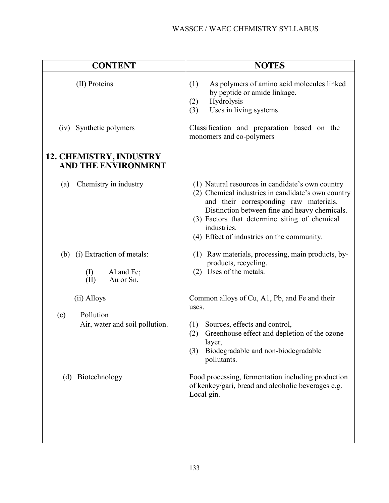| <b>CONTENT</b>                                                                         | <b>NOTES</b>                                                                                                                                                                                                                                                                                                                                           |
|----------------------------------------------------------------------------------------|--------------------------------------------------------------------------------------------------------------------------------------------------------------------------------------------------------------------------------------------------------------------------------------------------------------------------------------------------------|
| (II) Proteins                                                                          | As polymers of amino acid molecules linked<br>(1)<br>by peptide or amide linkage.<br>Hydrolysis<br>(2)<br>Uses in living systems.<br>(3)                                                                                                                                                                                                               |
| (iv) Synthetic polymers                                                                | Classification and preparation based on the<br>monomers and co-polymers                                                                                                                                                                                                                                                                                |
| 12. CHEMISTRY, INDUSTRY<br><b>AND THE ENVIRONMENT</b>                                  |                                                                                                                                                                                                                                                                                                                                                        |
| Chemistry in industry<br>(a)                                                           | (1) Natural resources in candidate's own country<br>(2) Chemical industries in candidate's own country<br>and their corresponding raw materials.<br>Distinction between fine and heavy chemicals.<br>(3) Factors that determine siting of chemical<br>industries.<br>(4) Effect of industries on the community.                                        |
| (b) (i) Extraction of metals:<br>$\rm(I)$<br>Al and Fe;<br>Au or Sn.<br>(II)           | (1) Raw materials, processing, main products, by-<br>products, recycling.<br>(2) Uses of the metals.                                                                                                                                                                                                                                                   |
| (ii) Alloys<br>Pollution<br>(c)<br>Air, water and soil pollution.<br>(d) Biotechnology | Common alloys of Cu, A1, Pb, and Fe and their<br>uses.<br>Sources, effects and control,<br>(1)<br>Greenhouse effect and depletion of the ozone<br>(2)<br>layer,<br>Biodegradable and non-biodegradable<br>(3)<br>pollutants.<br>Food processing, fermentation including production<br>of kenkey/gari, bread and alcoholic beverages e.g.<br>Local gin. |
|                                                                                        |                                                                                                                                                                                                                                                                                                                                                        |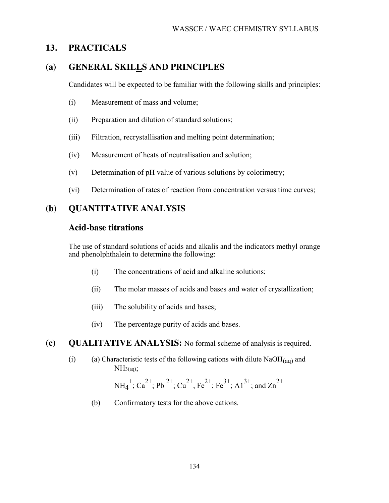## **13. PRACTICALS**

#### **(a) GENERAL SKI[LLS](http://www.larnedu.com/) AND PRINCIPLES**

Candidates will be expected to be familiar with the following skills and principles:

- (i) Measurement of mass and volume;
- (ii) Preparation and dilution of standard solutions;
- (iii) Filtration, recrystallisation and melting point determination;
- (iv) Measurement of heats of neutralisation and solution;
- (v) Determination of pH value of various solutions by colorimetry;
- (vi) Determination of rates of reaction from concentration versus time curves;

## **(b) QUANTITATIVE ANALYSIS**

#### **Acid-base titrations**

The use of standard solutions of acids and alkalis and the indicators methyl orange and phenolphthalein to determine the following:

- (i) The concentrations of acid and alkaline solutions;
- (ii) The molar masses of acids and bases and water of crystallization;
- (iii) The solubility of acids and bases;
- (iv) The percentage purity of acids and bases.

#### **(c) QUALITATIVE ANALYSIS:** No formal scheme of analysis is required.

(i) (a) Characteristic tests of the following cations with dilute  $NaOH(aq)$  and  $NH<sub>3</sub>(aq);$ 

$$
NH_4^+; Ca^{2+}; Pb^{2+}; Cu^{2+}, Fe^{2+}; Fe^{3+}; Al^{3+}; and Zn^{2+}
$$

(b) Confirmatory tests for the above cations.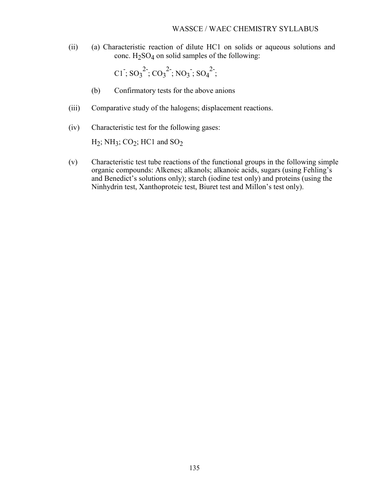(ii) (a) Characteristic reaction of dilute HC1 on solids or aqueous solutions and conc.  $H_2SO_4$  on solid samples of the following:

$$
CI^{\overline{.}}; SO_3^{2\overline{.}}; CO_3^{2\overline{.}}; NO_3; SO_4^{2\overline{.}};
$$

- (b) Confirmatory tests for the above anions
- (iii) Comparative study of the halogens; displacement reactions.
- (iv) Characteristic test for the following gases:

 $H_2$ ; NH<sub>3</sub>; CO<sub>2</sub>; HC1 and SO<sub>2</sub>

(v) Characteristic test tube reactions of the functional groups in the following simple organic compounds: Alkenes; alkanols; alkanoic acids, sugars (using Fehling's and Benedict's solutions only); starch (iodine test only) and proteins (using the Ninhydrin test, Xanthoproteic test, Biuret test and Millon's test only).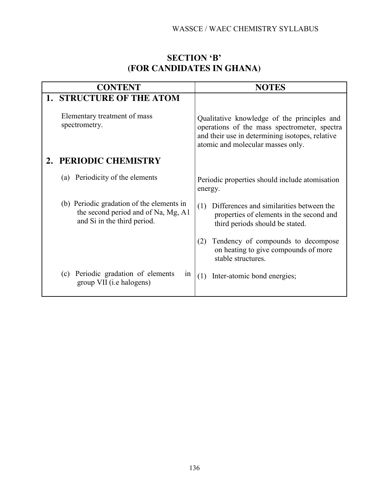## **SECTION 'B' (FOR CANDIDATES IN GHANA)**

| <b>CONTENT</b>                                                                                                  | <b>NOTES</b>                                                                                                                                                                        |
|-----------------------------------------------------------------------------------------------------------------|-------------------------------------------------------------------------------------------------------------------------------------------------------------------------------------|
| <b>1. STRUCTURE OF THE ATOM</b>                                                                                 |                                                                                                                                                                                     |
| Elementary treatment of mass<br>spectrometry.                                                                   | Qualitative knowledge of the principles and<br>operations of the mass spectrometer, spectra<br>and their use in determining isotopes, relative<br>atomic and molecular masses only. |
| PERIODIC CHEMISTRY                                                                                              |                                                                                                                                                                                     |
| (a) Periodicity of the elements                                                                                 | Periodic properties should include atomisation<br>energy.                                                                                                                           |
| (b) Periodic gradation of the elements in<br>the second period and of Na, Mg, A1<br>and Si in the third period. | Differences and similarities between the<br>(1)<br>properties of elements in the second and<br>third periods should be stated.                                                      |
|                                                                                                                 | Tendency of compounds to decompose<br>(2)<br>on heating to give compounds of more<br>stable structures.                                                                             |
| Periodic gradation of elements<br>(c)<br>1n<br>group VII (i.e halogens)                                         | Inter-atomic bond energies;<br>(1)                                                                                                                                                  |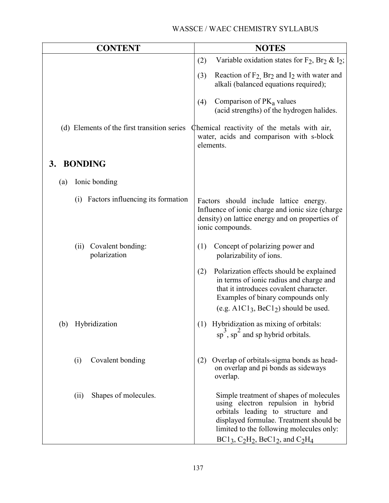|     | <b>CONTENT</b>                              | <b>NOTES</b>                                                                                                                                                                                                                               |
|-----|---------------------------------------------|--------------------------------------------------------------------------------------------------------------------------------------------------------------------------------------------------------------------------------------------|
|     |                                             | Variable oxidation states for $F_2$ , Br <sub>2</sub> & I <sub>2</sub> ;<br>(2)                                                                                                                                                            |
|     |                                             | Reaction of $F_2$ Br <sub>2</sub> and I <sub>2</sub> with water and<br>(3)<br>alkali (balanced equations required);                                                                                                                        |
|     |                                             | Comparison of $PK_a$ values<br>(4)<br>(acid strengths) of the hydrogen halides.                                                                                                                                                            |
|     | (d) Elements of the first transition series | Chemical reactivity of the metals with air,<br>water, acids and comparison with s-block<br>elements.                                                                                                                                       |
| 3.  | <b>BONDING</b>                              |                                                                                                                                                                                                                                            |
| (a) | Ionic bonding                               |                                                                                                                                                                                                                                            |
|     | Factors influencing its formation<br>(i)    | Factors should include lattice energy.<br>Influence of ionic charge and ionic size (charge<br>density) on lattice energy and on properties of<br>ionic compounds.                                                                          |
|     | Covalent bonding:<br>(ii)<br>polarization   | Concept of polarizing power and<br>(1)<br>polarizability of ions.                                                                                                                                                                          |
|     |                                             | Polarization effects should be explained<br>(2)<br>in terms of ionic radius and charge and<br>that it introduces covalent character.<br>Examples of binary compounds only<br>(e.g. $A1Cl_3$ , BeC1 <sub>2</sub> ) should be used.          |
|     | (b) Hybridization                           | Hybridization as mixing of orbitals:<br>$\frac{3}{2}$<br>(1)<br>sp, sp and sp hybrid orbitals.                                                                                                                                             |
|     | Covalent bonding<br>(i)                     | Overlap of orbitals-sigma bonds as head-<br>(2)<br>on overlap and pi bonds as sideways<br>overlap.                                                                                                                                         |
|     | Shapes of molecules.<br>(i)                 | Simple treatment of shapes of molecules<br>using electron repulsion in hybrid<br>orbitals leading to structure and<br>displayed formulae. Treatment should be<br>limited to the following molecules only:<br>$BC13, C2H2, BeC12, and C2H4$ |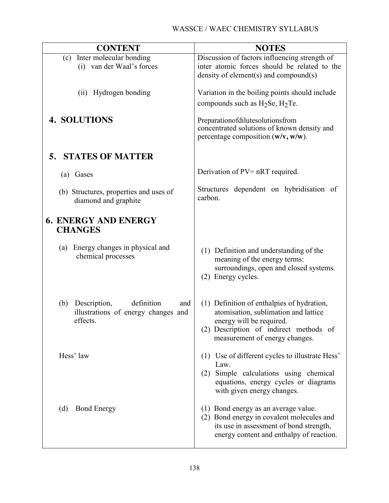| <b>CONTENT</b>                                                                              | <b>NOTES</b>                                                                                                                                                                               |
|---------------------------------------------------------------------------------------------|--------------------------------------------------------------------------------------------------------------------------------------------------------------------------------------------|
| Inter molecular bonding<br>(c)                                                              | Discussion of factors influencing strength of                                                                                                                                              |
| (i) van der Waal's forces                                                                   | inter atomic forces should be related to the                                                                                                                                               |
|                                                                                             | density of element(s) and compound(s)                                                                                                                                                      |
| (ii) Hydrogen bonding                                                                       | Variation in the boiling points should include                                                                                                                                             |
|                                                                                             | compounds such as $H_2Se$ , $H_2Te$ .                                                                                                                                                      |
|                                                                                             |                                                                                                                                                                                            |
| <b>4. SOLUTIONS</b>                                                                         | Preparationofdilutesolutionsfrom<br>concentrated solutions of known density and<br>percentage composition $(w/v, w/w)$ .                                                                   |
|                                                                                             |                                                                                                                                                                                            |
| <b>STATES OF MATTER</b><br>5.                                                               |                                                                                                                                                                                            |
| (a) Gases                                                                                   | Derivation of PV= nRT required.                                                                                                                                                            |
| (b) Structures, properties and uses of<br>diamond and graphite                              | Structures dependent on hybridisation of<br>carbon.                                                                                                                                        |
| <b>6. ENERGY AND ENERGY</b><br><b>CHANGES</b>                                               |                                                                                                                                                                                            |
| (a) Energy changes in physical and<br>chemical processes                                    | (1) Definition and understanding of the<br>meaning of the energy terms:<br>surroundings, open and closed systems.<br>(2) Energy cycles.                                                    |
| definition<br>(b)<br>Description,<br>and<br>illustrations of energy changes and<br>effects. | (1) Definition of enthalpies of hydration,<br>atomisation, sublimation and lattice<br>energy will be required.<br>(2) Description of indirect methods of<br>measurement of energy changes. |
| Hess' law                                                                                   | (1) Use of different cycles to illustrate Hess'<br>Law.<br>Simple calculations using chemical<br>(2)<br>equations, energy cycles or diagrams<br>with given energy changes.                 |
| <b>Bond Energy</b><br>(d)                                                                   | (1) Bond energy as an average value.<br>(2) Bond energy in covalent molecules and<br>its use in assessment of bond strength,<br>energy content and enthalpy of reaction.                   |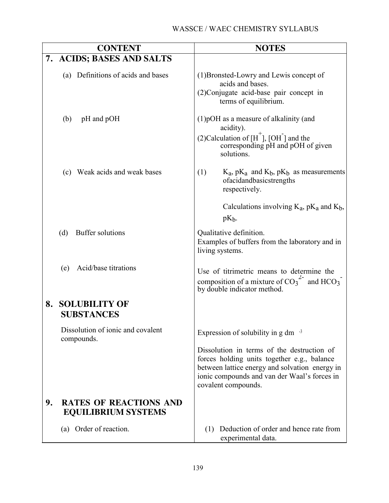| <b>CONTENT</b>                                                    | <b>NOTES</b>                                                                                                                                                                                                       |
|-------------------------------------------------------------------|--------------------------------------------------------------------------------------------------------------------------------------------------------------------------------------------------------------------|
| 7. ACIDS; BASES AND SALTS                                         |                                                                                                                                                                                                                    |
| (a) Definitions of acids and bases                                | (1) Bronsted-Lowry and Lewis concept of<br>acids and bases.<br>(2) Conjugate acid-base pair concept in<br>terms of equilibrium.                                                                                    |
| pH and pOH<br>(b)                                                 | $(1)$ pOH as a measure of alkalinity (and<br>acidity).<br>(2) Calculation of $[H^+]$ , [OH] and the<br>corresponding pH and pOH of given<br>solutions.                                                             |
| (c) Weak acids and weak bases                                     | $K_a$ , p $K_a$ and $K_b$ , p $K_b$ as measurements<br>(1)<br>ofacidandbasicstrengths<br>respectively.                                                                                                             |
|                                                                   | Calculations involving $K_a$ , p $K_a$ and $K_b$ ,<br>$pK_h$ .                                                                                                                                                     |
| <b>Buffer solutions</b><br>(d)                                    | Qualitative definition.<br>Examples of buffers from the laboratory and in<br>living systems.                                                                                                                       |
| Acid/base titrations<br>(e)                                       | Use of titrimetric means to determine the<br>composition of a mixture of $CO_3^2$ and HCO <sub>3</sub><br>by double indicator method.                                                                              |
| <b>SOLUBILITY OF</b><br>8.<br><b>SUBSTANCES</b>                   |                                                                                                                                                                                                                    |
| Dissolution of ionic and covalent<br>compounds.                   | Expression of solubility in $g \, dm^{-3}$                                                                                                                                                                         |
|                                                                   | Dissolution in terms of the destruction of<br>forces holding units together e.g., balance<br>between lattice energy and solvation energy in<br>ionic compounds and van der Waal's forces in<br>covalent compounds. |
| 9.<br><b>RATES OF REACTIONS AND</b><br><b>EQUILIBRIUM SYSTEMS</b> |                                                                                                                                                                                                                    |
| (a) Order of reaction.                                            | (1) Deduction of order and hence rate from<br>experimental data.                                                                                                                                                   |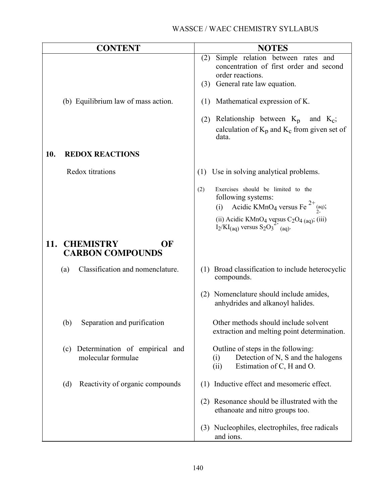| <b>CONTENT</b>                                              | <b>NOTES</b>                                                                                                                                 |
|-------------------------------------------------------------|----------------------------------------------------------------------------------------------------------------------------------------------|
|                                                             | Simple relation between rates and<br>(2)<br>concentration of first order and second<br>order reactions.<br>General rate law equation.<br>(3) |
| (b) Equilibrium law of mass action.                         | Mathematical expression of K.<br>(1)                                                                                                         |
|                                                             | Relationship between $K_p$<br>and $K_c$ ;<br>(2)<br>calculation of $K_p$ and $K_c$ from given set of<br>data.                                |
| <b>REDOX REACTIONS</b><br>10.                               |                                                                                                                                              |
| Redox titrations                                            | Use in solving analytical problems.<br>(1)                                                                                                   |
|                                                             | Exercises should be limited to the<br>(2)<br>following systems:<br>Acidic KMnO <sub>4</sub> versus Fe <sup>2+</sup> <sub>(aq)</sub> ;<br>(i) |
|                                                             | (ii) Acidic KMnO <sub>4</sub> versus $C_2O_{4}$ (aq); (iii)<br>$I_2/KI_{(aq)}$ versus $S_2O_3^{2}$ <sup>-</sup> (aq).                        |
| <b>CHEMISTRY</b><br>11.<br>OF<br><b>CARBON COMPOUNDS</b>    |                                                                                                                                              |
| Classification and nomenclature.<br>(a)                     | (1) Broad classification to include heterocyclic<br>compounds.                                                                               |
|                                                             | (2) Nomenclature should include amides,<br>anhydrides and alkanoyl halides.                                                                  |
| Separation and purification<br>(b)                          | Other methods should include solvent<br>extraction and melting point determination.                                                          |
| Determination of empirical and<br>(c)<br>molecular formulae | Outline of steps in the following:<br>Detection of N, S and the halogens<br>(i)<br>Estimation of C, H and O.<br>(ii)                         |
| Reactivity of organic compounds<br>(d)                      | (1) Inductive effect and mesomeric effect.                                                                                                   |
|                                                             | (2) Resonance should be illustrated with the<br>ethanoate and nitro groups too.                                                              |
|                                                             | (3) Nucleophiles, electrophiles, free radicals<br>and ions.                                                                                  |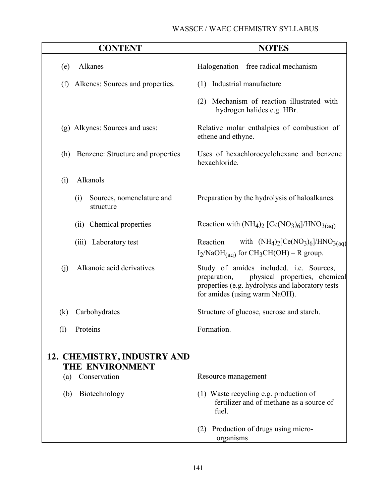|     | <b>CONTENT</b>                                 | <b>NOTES</b>                                                                                                                                                                  |
|-----|------------------------------------------------|-------------------------------------------------------------------------------------------------------------------------------------------------------------------------------|
| (e) | Alkanes                                        | Halogenation – free radical mechanism                                                                                                                                         |
| (f) | Alkenes: Sources and properties.               | (1) Industrial manufacture                                                                                                                                                    |
|     |                                                | Mechanism of reaction illustrated with<br>(2)<br>hydrogen halides e.g. HBr.                                                                                                   |
|     | (g) Alkynes: Sources and uses:                 | Relative molar enthalpies of combustion of<br>ethene and ethyne.                                                                                                              |
| (h) | Benzene: Structure and properties              | Uses of hexachlorocyclohexane and benzene<br>hexachloride.                                                                                                                    |
| (i) | Alkanols                                       |                                                                                                                                                                               |
|     | Sources, nomenclature and<br>(i)<br>structure  | Preparation by the hydrolysis of haloalkanes.                                                                                                                                 |
|     | (ii) Chemical properties                       | Reaction with $(NH_4)_2$ [Ce(NO <sub>3</sub> ) <sub>6</sub> ]/HNO <sub>3(aq)</sub>                                                                                            |
|     | (iii) Laboratory test                          | with $(NH_4)_2[Ce(NO_3)_6]/HNO_{3(aq)}$<br>Reaction<br>$I_2/NaOH$ <sub>(aq)</sub> for CH <sub>3</sub> CH(OH) – R group.                                                       |
| (i) | Alkanoic acid derivatives                      | Study of amides included. i.e. Sources,<br>physical properties, chemical<br>preparation,<br>properties (e.g. hydrolysis and laboratory tests<br>for amides (using warm NaOH). |
| (k) | Carbohydrates                                  | Structure of glucose, sucrose and starch.                                                                                                                                     |
| (1) | Proteins                                       | Formation.                                                                                                                                                                    |
|     | 12. CHEMISTRY, INDUSTRY AND<br>THE ENVIRONMENT |                                                                                                                                                                               |
| (a) | Conservation                                   | Resource management                                                                                                                                                           |
| (b) | Biotechnology                                  | (1) Waste recycling e.g. production of<br>fertilizer and of methane as a source of<br>fuel.                                                                                   |
|     |                                                | Production of drugs using micro-<br>(2)<br>organisms                                                                                                                          |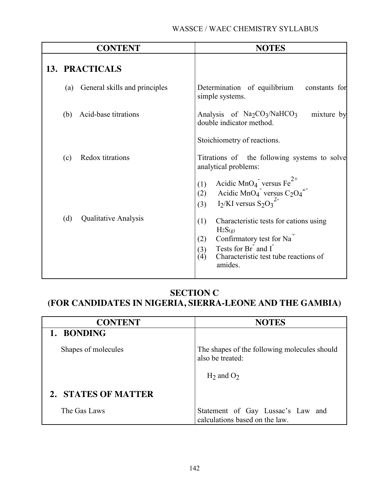|     | <b>CONTENT</b>                | <b>NOTES</b>                                                                                                                                                                                       |
|-----|-------------------------------|----------------------------------------------------------------------------------------------------------------------------------------------------------------------------------------------------|
|     | 13. PRACTICALS                |                                                                                                                                                                                                    |
| (a) | General skills and principles | Determination of equilibrium<br>constants for<br>simple systems.                                                                                                                                   |
| (b) | Acid-base titrations          | Analysis of $Na2CO3/NaHCO3$<br>mixture by<br>double indicator method.                                                                                                                              |
|     |                               | Stoichiometry of reactions.                                                                                                                                                                        |
| (c) | Redox titrations              | Titrations of the following systems to solve<br>analytical problems:                                                                                                                               |
|     |                               | Acidic MnO <sub>4</sub> versus Fe <sup>2+</sup><br>Acidic MnO <sub>4</sub> versus C <sub>2</sub> O <sub>4</sub> <sup>2-</sup><br>(1)<br>(2)<br>I <sub>2</sub> /KI versus $S_2O_3^2$<br>(3)         |
| (d) | <b>Qualitative Analysis</b>   | (1)<br>Characteristic tests for cations using<br>$H_2S(g)$<br>Confirmatory test for Na <sup>T</sup><br>(2)<br>Tests for Br and I<br>(3)<br>(4)<br>Characteristic test tube reactions of<br>amides. |

## **SECTION C**

# **(FOR CANDIDATES IN NIGERIA, SIERRA-LEONE AND THE GAMBIA)**

| <b>CONTENT</b>      | <b>NOTES</b>                                                                        |
|---------------------|-------------------------------------------------------------------------------------|
| 1. BONDING          |                                                                                     |
| Shapes of molecules | The shapes of the following molecules should<br>also be treated:<br>$H_2$ and $O_2$ |
| 2. STATES OF MATTER |                                                                                     |
| The Gas Laws        | Statement of Gay Lussac's Law and<br>calculations based on the law.                 |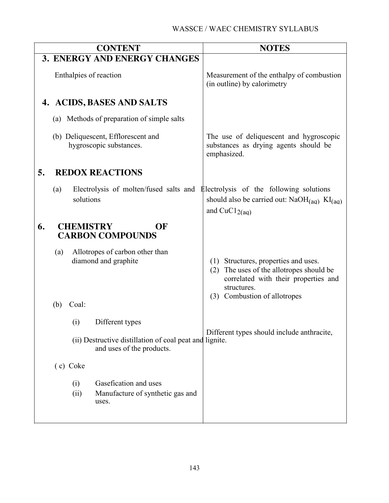|    |                                                   |             | <b>CONTENT</b>                                                                       |                 | <b>NOTES</b>                                                                                                                                                        |
|----|---------------------------------------------------|-------------|--------------------------------------------------------------------------------------|-----------------|---------------------------------------------------------------------------------------------------------------------------------------------------------------------|
|    |                                                   |             | 3. ENERGY AND ENERGY CHANGES                                                         |                 |                                                                                                                                                                     |
|    | Enthalpies of reaction                            |             |                                                                                      |                 | Measurement of the enthalpy of combustion<br>(in outline) by calorimetry                                                                                            |
|    |                                                   |             | 4. ACIDS, BASES AND SALTS                                                            |                 |                                                                                                                                                                     |
|    |                                                   |             | (a) Methods of preparation of simple salts                                           |                 |                                                                                                                                                                     |
|    |                                                   |             | (b) Deliquescent, Efflorescent and<br>hygroscopic substances.                        | emphasized.     | The use of deliquescent and hygroscopic<br>substances as drying agents should be                                                                                    |
| 5. |                                                   |             | <b>REDOX REACTIONS</b>                                                               |                 |                                                                                                                                                                     |
|    | (a)                                               | solutions   | Electrolysis of molten/fused salts and Electrolysis of the following solutions       | and $CuCl2(aq)$ | should also be carried out: $NaOH(aq)$ KI(aq)                                                                                                                       |
| 6. | <b>CHEMISTRY</b><br>OF<br><b>CARBON COMPOUNDS</b> |             |                                                                                      |                 |                                                                                                                                                                     |
|    | (a)                                               |             | Allotropes of carbon other than<br>diamond and graphite                              | (2)             | (1) Structures, properties and uses.<br>The uses of the allotropes should be<br>correlated with their properties and<br>structures.<br>(3) Combustion of allotropes |
|    | (b)                                               | Coal:       |                                                                                      |                 |                                                                                                                                                                     |
|    |                                                   | (i)         | Different types                                                                      |                 |                                                                                                                                                                     |
|    |                                                   |             | (ii) Destructive distillation of coal peat and lignite.<br>and uses of the products. |                 | Different types should include anthracite,                                                                                                                          |
|    |                                                   | (c) Coke    |                                                                                      |                 |                                                                                                                                                                     |
|    |                                                   | (i)<br>(ii) | Gasefication and uses<br>Manufacture of synthetic gas and<br>uses.                   |                 |                                                                                                                                                                     |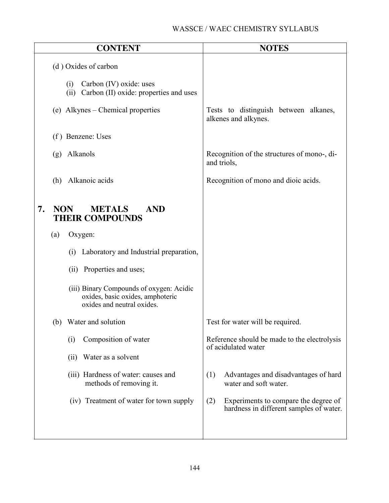|                  | <b>CONTENT</b>                                                                                             | <b>NOTES</b>                                                                           |
|------------------|------------------------------------------------------------------------------------------------------------|----------------------------------------------------------------------------------------|
|                  | (d) Oxides of carbon                                                                                       |                                                                                        |
|                  | Carbon (IV) oxide: uses<br>(i)<br>(ii) Carbon (II) oxide: properties and uses                              |                                                                                        |
|                  | (e) Alkynes – Chemical properties                                                                          | Tests to distinguish between alkanes,<br>alkenes and alkynes.                          |
|                  | (f) Benzene: Uses                                                                                          |                                                                                        |
| (g)              | Alkanols                                                                                                   | Recognition of the structures of mono-, di-<br>and triols,                             |
| (h)              | Alkanoic acids                                                                                             | Recognition of mono and dioic acids.                                                   |
| 7.<br><b>NON</b> | <b>METALS</b><br><b>AND</b><br><b>THEIR COMPOUNDS</b>                                                      |                                                                                        |
| (a)              | Oxygen:                                                                                                    |                                                                                        |
|                  | Laboratory and Industrial preparation,<br>(i)                                                              |                                                                                        |
|                  | (ii) Properties and uses;                                                                                  |                                                                                        |
|                  | (iii) Binary Compounds of oxygen: Acidic<br>oxides, basic oxides, amphoteric<br>oxides and neutral oxides. |                                                                                        |
|                  | (b) Water and solution                                                                                     | Test for water will be required.                                                       |
|                  | Composition of water<br>(i)                                                                                | Reference should be made to the electrolysis<br>of acidulated water                    |
|                  | Water as a solvent<br>(ii)                                                                                 |                                                                                        |
|                  | (iii) Hardness of water: causes and<br>methods of removing it.                                             | (1)<br>Advantages and disadvantages of hard<br>water and soft water.                   |
|                  | (iv) Treatment of water for town supply                                                                    | (2)<br>Experiments to compare the degree of<br>hardness in different samples of water. |
|                  |                                                                                                            |                                                                                        |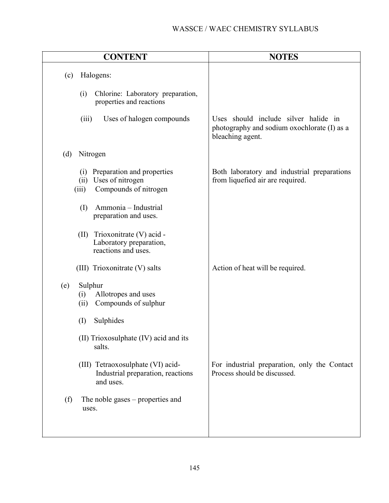| <b>CONTENT</b>                                                                                        | <b>NOTES</b>                                                                                            |  |
|-------------------------------------------------------------------------------------------------------|---------------------------------------------------------------------------------------------------------|--|
| Halogens:<br>(c)                                                                                      |                                                                                                         |  |
| Chlorine: Laboratory preparation,<br>(i)<br>properties and reactions                                  |                                                                                                         |  |
| (iii)<br>Uses of halogen compounds                                                                    | Uses should include silver halide in<br>photography and sodium oxochlorate (I) as a<br>bleaching agent. |  |
| (d)<br>Nitrogen                                                                                       |                                                                                                         |  |
| Preparation and properties<br>(i)<br>Uses of nitrogen<br>(ii)<br>Compounds of nitrogen<br>(iii)       | Both laboratory and industrial preparations<br>from liquefied air are required.                         |  |
| Ammonia - Industrial<br>(I)<br>preparation and uses.                                                  |                                                                                                         |  |
| Trioxonitrate (V) acid -<br>(II)<br>Laboratory preparation,<br>reactions and uses.                    |                                                                                                         |  |
| (III) Trioxonitrate (V) salts                                                                         | Action of heat will be required.                                                                        |  |
| Sulphur<br>(e)<br>Allotropes and uses<br>(i)<br>Compounds of sulphur<br>(ii)<br>Sulphides<br>$\rm(I)$ |                                                                                                         |  |
| (II) Trioxosulphate (IV) acid and its<br>salts.                                                       |                                                                                                         |  |
| (III) Tetraoxosulphate (VI) acid-<br>Industrial preparation, reactions<br>and uses.                   | For industrial preparation, only the Contact<br>Process should be discussed.                            |  |
| (f)<br>The noble gases $-$ properties and<br>uses.                                                    |                                                                                                         |  |
|                                                                                                       |                                                                                                         |  |